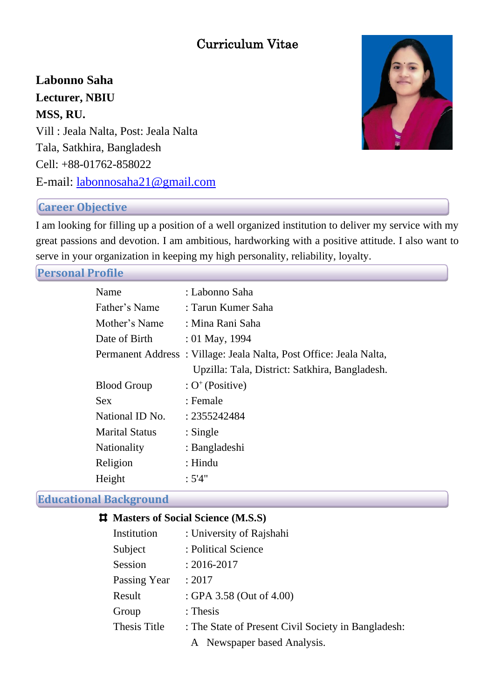# Curriculum Vitae

**Labonno Saha Lecturer, NBIU MSS, RU.** Vill : Jeala Nalta, Post: Jeala Nalta Tala, Satkhira, Bangladesh Cell: +88-01762-858022 E-mail: [labonnosaha21@gmail.com](mailto:poly5287@gmail.com)



# **Career Objective**

I am looking for filling up a position of a well organized institution to deliver my service with my great passions and devotion. I am ambitious, hardworking with a positive attitude. I also want to serve in your organization in keeping my high personality, reliability, loyalty.

**Personal Profile**

| Name                  | : Labonno Saha                                                     |
|-----------------------|--------------------------------------------------------------------|
| Father's Name         | : Tarun Kumer Saha                                                 |
| Mother's Name         | : Mina Rani Saha                                                   |
| Date of Birth         | $: 01$ May, 1994                                                   |
|                       | Permanent Address: Village: Jeala Nalta, Post Office: Jeala Nalta, |
|                       | Upzilla: Tala, District: Satkhira, Bangladesh.                     |
| <b>Blood Group</b>    | : $O^+$ (Positive)                                                 |
| <b>Sex</b>            | : Female                                                           |
| National ID No.       | : 2355242484                                                       |
| <b>Marital Status</b> | $:$ Single                                                         |
| <b>Nationality</b>    | : Bangladeshi                                                      |
| Religion              | $:$ Hindu                                                          |
| Height                | :5'4"                                                              |

# **Educational Background**

| <b>#</b> Masters of Social Science (M.S.S) |                                                     |
|--------------------------------------------|-----------------------------------------------------|
| Institution                                | : University of Rajshahi                            |
| Subject                                    | : Political Science                                 |
| Session                                    | $: 2016 - 2017$                                     |
| Passing Year                               | : 2017                                              |
| Result                                     | : GPA 3.58 (Out of 4.00)                            |
| Group                                      | $:$ Thesis                                          |
| Thesis Title                               | : The State of Present Civil Society in Bangladesh: |
|                                            | A Newspaper based Analysis.                         |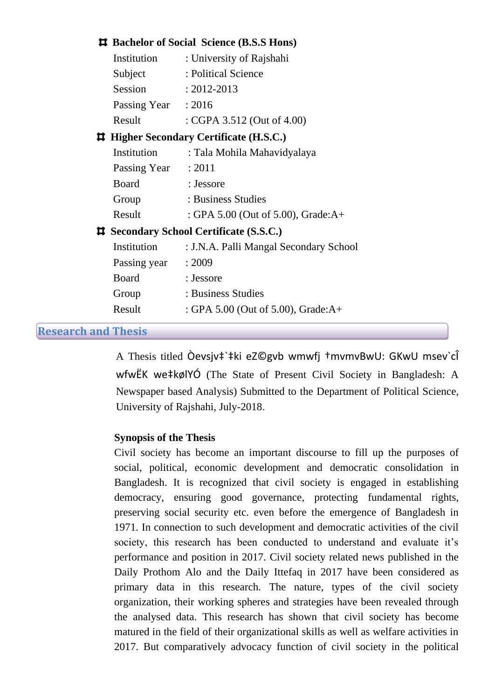### **Bachelor of Social Science (B.S.S Hons)**

| Institution                                    | : University of Rajshahi    |
|------------------------------------------------|-----------------------------|
| Subject                                        | : Political Science         |
| Session                                        | $: 2012 - 2013$             |
| Passing Year                                   | : 2016                      |
| Result                                         | : CGPA 3.512 (Out of 4.00)  |
| <b># Higher Secondary Certificate (H.S.C.)</b> |                             |
| Institution                                    | : Tala Mohila Mahavidyalaya |
| $D_{\alpha\alpha}$ $\alpha$ $V_{\alpha\alpha}$ | . วกา 1                     |

| Passing Year | : 2011                                |
|--------------|---------------------------------------|
| <b>Board</b> | : Jessore                             |
| Group        | : Business Studies                    |
| Result       | : GPA 5.00 (Out of 5.00), Grade: $A+$ |

#### **Secondary School Certificate (S.S.C.)**

| Institution  | : J.N.A. Palli Mangal Secondary School |
|--------------|----------------------------------------|
| Passing year | : 2009                                 |
| Board        | : Jessore                              |
| Group        | : Business Studies                     |
| Result       | : GPA 5.00 (Out of 5.00), Grade: $A+$  |
|              |                                        |

#### **Research and Thesis**

A Thesis titled Òevsjv‡`‡ki eZ©gvb wmwfj †mvmvBwU: GKwU msev`cÎ wfwËK we‡kølYÓ (The State of Present Civil Society in Bangladesh: A Newspaper based Analysis) Submitted to the Department of Political Science, University of Rajshahi, July-2018.

### **Synopsis of the Thesis**

Civil society has become an important discourse to fill up the purposes of social, political, economic development and democratic consolidation in Bangladesh. It is recognized that civil society is engaged in establishing democracy, ensuring good governance, protecting fundamental rights, preserving social security etc. even before the emergence of Bangladesh in 1971. In connection to such development and democratic activities of the civil society, this research has been conducted to understand and evaluate it's performance and position in 2017. Civil society related news published in the Daily Prothom Alo and the Daily Ittefaq in 2017 have been considered as primary data in this research. The nature, types of the civil society organization, their working spheres and strategies have been revealed through the analysed data. This research has shown that civil society has become matured in the field of their organizational skills as well as welfare activities in 2017. But comparatively advocacy function of civil society in the political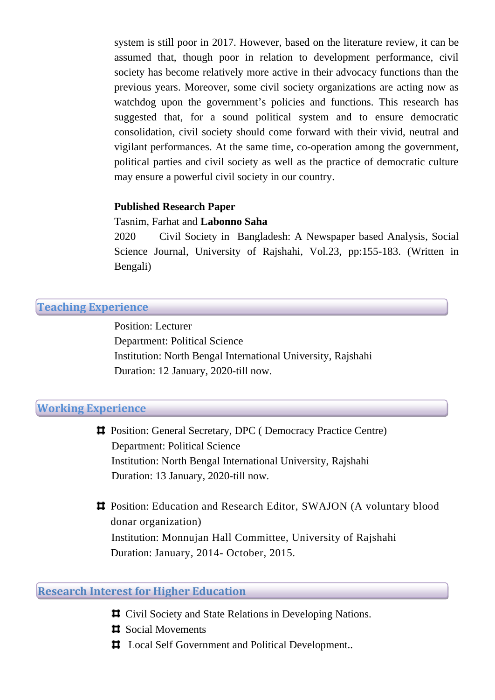system is still poor in 2017. However, based on the literature review, it can be assumed that, though poor in relation to development performance, civil society has become relatively more active in their advocacy functions than the previous years. Moreover, some civil society organizations are acting now as watchdog upon the government's policies and functions. This research has suggested that, for a sound political system and to ensure democratic consolidation, civil society should come forward with their vivid, neutral and vigilant performances. At the same time, co-operation among the government, political parties and civil society as well as the practice of democratic culture may ensure a powerful civil society in our country.

#### **Published Research Paper**

#### Tasnim, Farhat and **Labonno Saha**

2020 Civil Society in Bangladesh: A Newspaper based Analysis, Social Science Journal, University of Rajshahi, Vol.23, pp:155-183. (Written in Bengali)

# **Teaching Experience**

Position: Lecturer Department: Political Science Institution: North Bengal International University, Rajshahi Duration: 12 January, 2020-till now.

#### **Working Experience**

Position: General Secretary, DPC ( Democracy Practice Centre) Department: Political Science Institution: North Bengal International University, Rajshahi Duration: 13 January, 2020-till now.

Position: Education and Research Editor, SWAJON (A voluntary blood donar organization) Institution: Monnujan Hall Committee, University of Rajshahi Duration: January, 2014- October, 2015.

#### **Research Interest for Higher Education**

- Civil Society and State Relations in Developing Nations.
- $\sharp$  Social Movements
- $\Box$  Local Self Government and Political Development..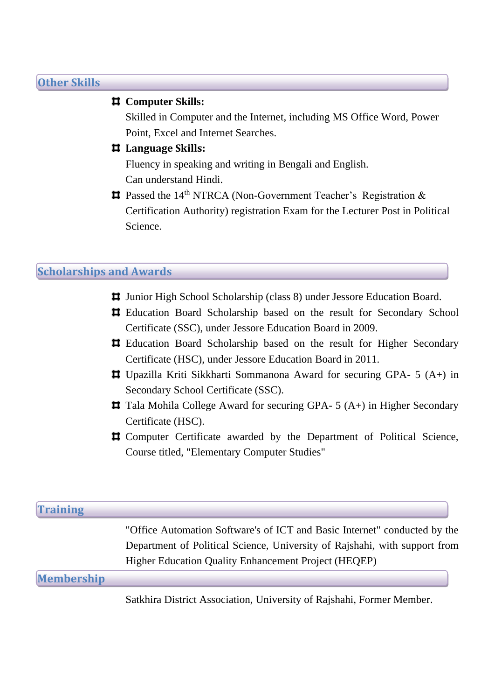# **Other Skills**

# **Computer Skills:**

Skilled in Computer and the Internet, including MS Office Word, Power Point, Excel and Internet Searches.

# **Language Skills:**

Fluency in speaking and writing in Bengali and English. Can understand Hindi.

**#** Passed the 14<sup>th</sup> NTRCA (Non-Government Teacher's Registration & Certification Authority) registration Exam for the Lecturer Post in Political Science.

# **Scholarships and Awards**

- Junior High School Scholarship (class 8) under Jessore Education Board.
- Education Board Scholarship based on the result for Secondary School Certificate (SSC), under Jessore Education Board in 2009.
- Education Board Scholarship based on the result for Higher Secondary Certificate (HSC), under Jessore Education Board in 2011.
- Upazilla Kriti Sikkharti Sommanona Award for securing GPA- 5 (A+) in Secondary School Certificate (SSC).
- **T** Tala Mohila College Award for securing GPA- 5 (A+) in Higher Secondary Certificate (HSC).
- Computer Certificate awarded by the Department of Political Science, Course titled, "Elementary Computer Studies"

| <b>Training</b>   |                                                                            |
|-------------------|----------------------------------------------------------------------------|
|                   | "Office Automation Software's of ICT and Basic Internet" conducted by the  |
|                   | Department of Political Science, University of Rajshahi, with support from |
|                   | Higher Education Quality Enhancement Project (HEQEP)                       |
| <b>Membership</b> |                                                                            |

Satkhira District Association, University of Rajshahi, Former Member.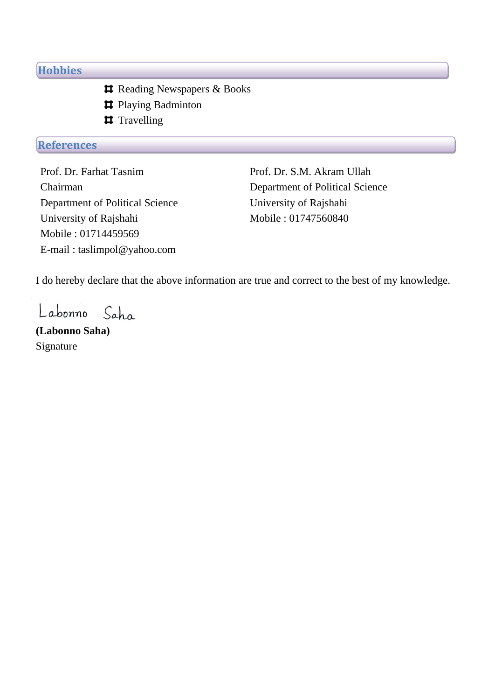# **Hobbies**

- **#** Reading Newspapers & Books
- **#** Playing Badminton
- **#** Travelling

# **References**

Prof. Dr. Farhat Tasnim Chairman Department of Political Science University of Rajshahi Mobile : 01714459569 E-mail : taslimpol@yahoo.com

Prof. Dr. S.M. Akram Ullah Department of Political Science University of Rajshahi Mobile : 01747560840

I do hereby declare that the above information are true and correct to the best of my knowledge.

Labonno  $Saha$ 

**(Labonno Saha)**  Signature